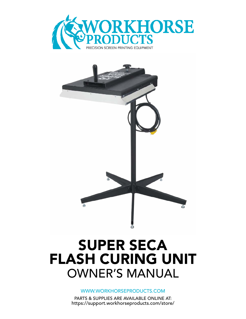



# SUPER SECA FLASH CURING UNIT OWNER'S MANUAL

WWW.WORKHORSEPRODUCTS.COM

PARTS & SUPPLIES ARE AVAILABLE ONLINE AT: https://support.workhorseproducts.com/store/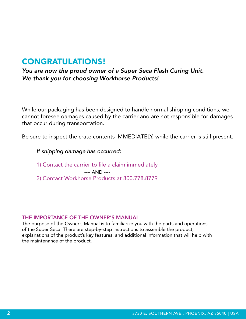### CONGRATULATIONS!

*You are now the proud owner of a Super Seca Flash Curing Unit. We thank you for choosing Workhorse Products!*

While our packaging has been designed to handle normal shipping conditions, we cannot foresee damages caused by the carrier and are not responsible for damages that occur during transportation.

Be sure to inspect the crate contents IMMEDIATELY, while the carrier is still present.

*If shipping damage has occurred:*

1) Contact the carrier to file a claim immediately

---- AND ----

2) Contact Workhorse Products at 800.778.8779

#### THE IMPORTANCE OF THE OWNER'S MANUAL

The purpose of the Owner's Manual is to familiarize you with the parts and operations of the Super Seca. There are step-by-step instructions to assemble the product, explanations of the product's key features, and additional information that will help with the maintenance of the product.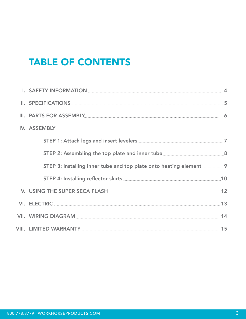### TABLE OF CONTENTS

| III. PARTS FOR ASSEMBLY ENTITLED TO A SALE AND THE STATE OF STATE AND THE STATE OF STATE AND THE STATE OF STATE OF STATE OF STATE OF STATE OF STATE OF STATE OF STATE OF STATE OF STATE OF STATE OF STATE OF STATE OF STATE OF |  |
|--------------------------------------------------------------------------------------------------------------------------------------------------------------------------------------------------------------------------------|--|
| IV. ASSEMBLY                                                                                                                                                                                                                   |  |
|                                                                                                                                                                                                                                |  |
|                                                                                                                                                                                                                                |  |
|                                                                                                                                                                                                                                |  |
|                                                                                                                                                                                                                                |  |
| V. USING THE SUPER SECA FLASH ENGINEERING THE SUPER SECA FLASH                                                                                                                                                                 |  |
|                                                                                                                                                                                                                                |  |
| VII. WIRING DIAGRAM NA MARA MARA A MARA 14                                                                                                                                                                                     |  |
|                                                                                                                                                                                                                                |  |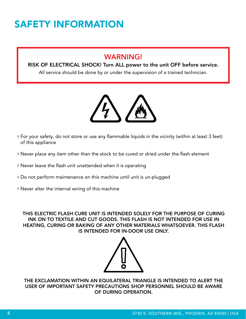## SAFETY INFORMATION

### WARNING!

#### RISK OF ELECTRICAL SHOCK! Turn ALL power to the unit OFF before service.

All service should be done by or under the supervision of a trained technician.



- For your safety, do not store or use any flammable liquids in the vicinity (within at least 3 feet) of this appliance
- Never place any item other than the stock to be cured or dried under the flash element
- Never leave the flash unit unattended when it is operating
- Do not perform maintenance on this machine until unit is un-plugged
- Never alter the internal wiring of this machine

THIS ELECTRIC FLASH CURE UNIT IS INTENDED SOLELY FOR THE PURPOSE OF CURING INK ON TO TEXTILE AND CUT GOODS. THIS FLASH IS NOT INTENDED FOR USE IN HEATING, CURING OR BAKING OF ANY OTHER MATERIALS WHATSOEVER. THIS FLASH IS INTENDED FOR IN-DOOR USE ONLY.



THE EXCLAMATION WITHIN AN EQUILATERAL TRIANGLE IS INTENDED TO ALERT THE USER OF IMPORTANT SAFETY PRECAUTIONS SHOP PERSONNEL SHOULD BE AWARE OF DURING OPERATION.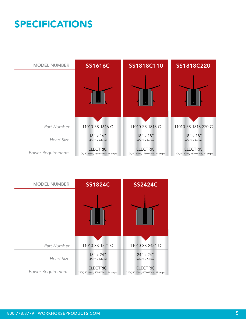## SPECIFICATIONS

| <b>MODEL NUMBER</b>       | <b>SS1616C</b>                                        | SS1818C110                                            | SS1818C220                                            |
|---------------------------|-------------------------------------------------------|-------------------------------------------------------|-------------------------------------------------------|
|                           |                                                       |                                                       |                                                       |
| Part Number               | 11010-SS-1616-C                                       | 11010-SS-1818-C                                       | 11010-SS-1818-220-C                                   |
| <b>Head Size</b>          | $16'' \times 16''$<br>$(41cm \times 41cm)$            | 18" x 18"<br>(46cm x 46cm)                            | 18" x 18"<br>(46cm x 46cm)                            |
| <b>Power Requirements</b> | <b>ELECTRIC</b><br>110V, 50-60Hz, 1600 Watts, 14 amps | <b>ELECTRIC</b><br>110V, 50-60Hz, 1950 Watts, 17 amps | <b>ELECTRIC</b><br>220V, 50-60Hz, 2500 Watts, 12 amps |

| <b>MODEL NUMBER</b>       | <b>SS1824C</b>                                        | <b>SS2424C</b>                                        |
|---------------------------|-------------------------------------------------------|-------------------------------------------------------|
|                           |                                                       |                                                       |
| Part Number               | 11010-SS-1824-C                                       | 11010-SS-2424-C                                       |
| <b>Head Size</b>          | $18'' \times 24''$<br>$(46cm \times 61cm)$            | $24'' \times 24''$<br>$(61cm \times 61cm)$            |
| <b>Power Requirements</b> | <b>ELECTRIC</b><br>220V, 50-60Hz, 3000 Watts, 14 amps | <b>ELECTRIC</b><br>220V, 50-60Hz, 4000 Watts, 18 amps |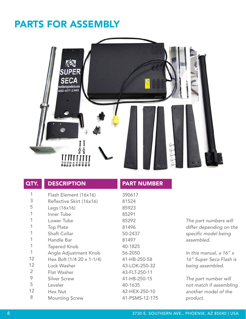### PARTS FOR ASSEMBLY



| QTY. | <b>DESCRIPTION</b>        | <b>PART</b>   |
|------|---------------------------|---------------|
| 1    | Flash Element (16x16)     | 390617        |
| 3    | Reflective Skirt (16x16)  | 81524         |
| 5    | Legs (16x16)              | 85923         |
| 1    | Inner Tube                | 85291         |
| 1    | Lower Tube                | 85292         |
| 1    | <b>Top Plate</b>          | 81496         |
| 1    | <b>Shaft Collar</b>       | 50-2437       |
| 1    | Handle Bar                | 81497         |
| 1    | <b>Tapered Knob</b>       | 40-1825       |
| 1    | Angle Adjustment Knob     | 56-2050       |
| 12   | Hex Bolt (1/4 20 x 1-1/4) | $41-HB-2$     |
| 12   | Lock Washer               | 43-LOK        |
| 2    | <b>Flat Washer</b>        | 43-FLT-2      |
| 9    | <b>Silver Screw</b>       | $41-HB-2$     |
| 5    | Leveler                   | 40-1635       |
| 12   | Hex Nut                   | <b>42-HEX</b> |

Mounting Screw

PART NUMBER

81524 85923 85291 85292 81496 50-2437 81497 40-1825 56-2050 41-HB-250-58 43-LOK-250-32 43-FLT-250-11 41-HB-250-15 40-1635 42-HEX-250-10 41-PSMS-12-175

*The part numbers will differ depending on the specific model being assembled.*

*In this manual, a 16" x 16" Super Seca Flash is being assembled.*

*The part number will not match if assembling another model of the product.*

8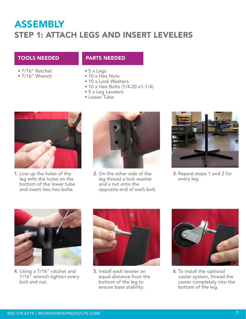### ASSEMBLY STEP 1: ATTACH LEGS AND INSERT LEVELERS

#### TOOLS NEEDED PARTS NEEDED

- 7/16" Ratchet •
- 7/16" Wrench •
- 5 x Legs •
- 10 x Hex Nuts
- 10 x Lock Washers
- 10 x Hex Bolts (1/4-20 x1-1/4)
- 5 x Leg Levelers •
- Lower Tube •



**1.** Line up the holes of the leg with the holes on the bottom of the lower tube and insert two hex bolts.



**2.** On the other side of the leg thread a lock washer and a nut onto the opposite end of each bolt.



**3. Repeat steps 1 and 2 for** every leg.



Using a 7/16" ratchet and 4. 7/16" wrench tighten every bolt and nut.



5. Install each leveler an equal distance from the bottom of the leg to ensure base stability.



**6.** To install the optional caster system, thread the caster completely into the bottom of the leg.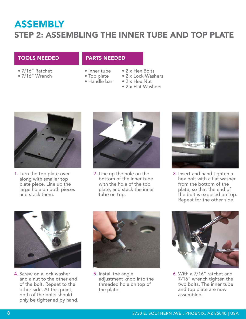### ASSEMBLY STEP 2: ASSEMBLING THE INNER TUBE AND TOP PLATE

#### TOOLS NEEDED PARTS NEEDED

- 7/16" Ratchet •
- 7/16" Wrench •

- Inner tube
- Top plate •
- Handle bar •
- 2 x Hex Bolts
- 2 x Lock Washers
- 2 x Hex Nut
- 2 x Flat Washers



1. Turn the top plate over along with smaller top plate piece. Line up the large hole on both pieces and stack them.



2. Line up the hole on the bottom of the inner tube with the hole of the top plate, and stack the inner tube on top.



3. Insert and hand tighten a hex bolt with a flat washer from the bottom of the plate, so that the end of the bolt is exposed on top. Repeat for the other side.



4. Screw on a lock washer and a nut to the other end of the bolt. Repeat to the other side. At this point, both of the bolts should only be tightened by hand.



5. Install the angle adjustment knob into the threaded hole on top of the plate.



With a 7/16" ratchet and 6.7/16" wrench tighten the two bolts. The inner tube and top plate are now assembled.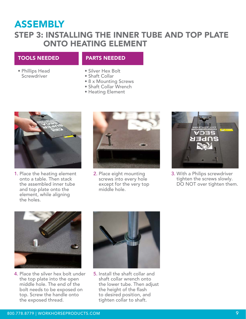### ASSEMBLY

### STEP 3: INSTALLING THE INNER TUBE AND TOP PLATE ONTO HEATING ELEMENT

#### TOOLS NEEDED PARTS NEEDED

- Phillips Head **Screwdriver**
- Silver Hex Bolt •
- Shaft Collar •
- 8 x Mounting Screws
- Shaft Collar Wrench
- Heating Element



1. Place the heating element onto a table. Then stack the assembled inner tube and top plate onto the element, while aligning the holes.



2. Place eight mounting screws into every hole except for the very top middle hole.



With a Philips screwdriver 3.tighten the screws slowly. DO NOT over tighten them.



4. Place the silver hex bolt under the top plate into the open middle hole. The end of the bolt needs to be exposed on top. Screw the handle onto the exposed thread.



5. Install the shaft collar and shaft collar wrench onto the lower tube. Then adjust the height of the flash to desired position, and tighten collar to shaft.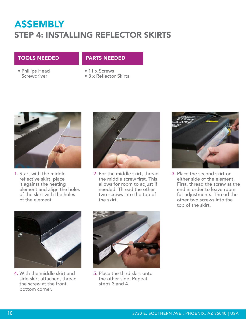### ASSEMBLY STEP 4: INSTALLING REFLECTOR SKIRTS

#### TOOLS NEEDED PARTS NEEDED

Phillips Head • **Screwdriver** 

• 11 x Screws 3 x Reflector Skirts •



1. Start with the middle reflective skirt, place it against the heating element and align the holes of the skirt with the holes of the element.



**2.** For the middle skirt, thread the middle screw first. This allows for room to adjust if needed. Thread the other two screws into the top of the skirt.



3. Place the second skirt on either side of the element. First, thread the screw at the end in order to leave room for adjustments. Thread the other two screws into the top of the skirt.



With the middle skirt and 4. side skirt attached, thread the screw at the front bottom corner.



**5.** Place the third skirt onto the other side. Repeat steps 3 and 4.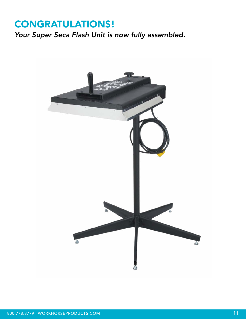### CONGRATULATIONS!

*Your Super Seca Flash Unit is now fully assembled.*

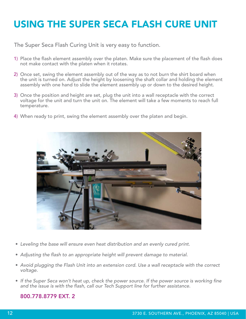## USING THE SUPER SECA FLASH CURE UNIT

The Super Seca Flash Curing Unit is very easy to function.

- 1) Place the flash element assembly over the platen. Make sure the placement of the flash does not make contact with the platen when it rotates.
- Once set, swing the element assembly out of the way as to not burn the shirt board when 2) the unit is turned on. Adjust the height by loosening the shaft collar and holding the element assembly with one hand to slide the element assembly up or down to the desired height.
- 3) Once the position and height are set, plug the unit into a wall receptacle with the correct voltage for the unit and turn the unit on. The element will take a few moments to reach full temperature.
- When ready to print, swing the element assembly over the platen and begin. 4)



- *Leveling the base will ensure even heat distribution and an evenly cured print.* •
- *Adjusting the flash to an appropriate height will prevent damage to material.* •
- Avoid plugging the Flash Unit into an extension cord. Use a wall receptacle with the correct *voltage.*
- If the Super Seca won't heat up, check the power source. If the power source is working fine *and the issue is with the flash, call our Tech Support line for further assistance.*

#### 800.778.8779 EXT. 2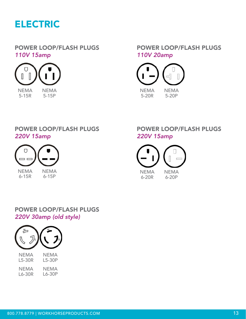

#### POWER LOOP/FLASH PLUGS *110V 15amp*



POWER LOOP/FLASH PLUGS *110V 20amp*



### POWER LOOP/FLASH PLUGS *220V 15amp*



6-15R 6-15P

### POWER LOOP/FLASH PLUGS *220V 15amp*



### POWER LOOP/FLASH PLUGS *220V 30amp (old style)*

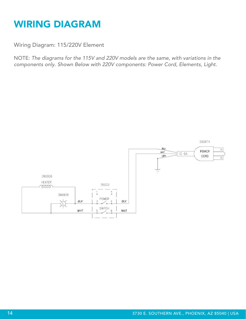## WIRING DIAGRAM

Wiring Diagram: 115/220V Element

NOTE: *The diagrams for the 115V and 220V models are the same, with variations in the components only. Shown Below with 220V components: Power Cord, Elements, Light.*

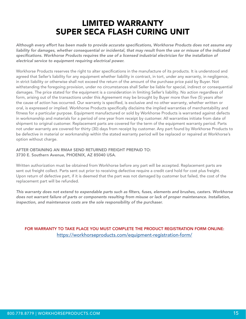### LIMITED WARRANTY SUPER SECA FLASH CURING UNIT

*Although every effort has been made to provide accurate specifications, Workhorse Products does not assume any liability for damages, whether consequential or incidental, that may result from the use or misuse of the indicated*  specifications. Workhorse Products requires the use of a licensed industrial electrician for the installation of *electrical service to equipment requiring electrical power.*

Workhorse Products reserves the right to alter specifications in the manufacture of its products. It is understood and agreed that Seller's liability for any equipment whether liability in contract, in tort, under any warranty, in negligence, in strict liability or otherwise shall not exceed the return of the amount of the purchase price paid by Buyer. Not withstanding the foregoing provision, under no circumstances shall Seller be liable for special, indirect or consequential damages. The price stated for the equipment is a consideration in limiting Seller's liability. No action regardless of form, arising out of the transactions under this Agreement may be brought by Buyer more than five (5) years after the cause of action has occurred. Our warranty is specified, is exclusive and no other warranty, whether written or oral, is expressed or implied. Workhorse Products specifically disclaims the implied warranties of merchantability and fitness for a particular purpose. Equipment manufactured or sold by Workhorse Products is warranted against defects in workmanship and materials for a period of one year from receipt by customer. All warranties initiate from date of shipment to original customer. Replacement parts are covered for the term of the equipment warranty period. Parts not under warranty are covered for thirty (30) days from receipt by customer. Any part found by Workhorse Products to be defective in material or workmanship within the stated warranty period will be replaced or repaired at Workhorse's option without charge.

AFTER OBTAINING AN RMA# SEND RETURNED FREIGHT PREPAID TO: 3730 E. Southern Avenue, PHOENIX, AZ 85040 USA.

Written authorization must be obtained from Workhorse before any part will be accepted. Replacement parts are sent out freight collect. Parts sent out prior to receiving defective require a credit card hold for cost plus freight. Upon return of defective part, if it is deemed that the part was not damaged by customer but failed, the cost of the replacement part will be refunded.

*This warranty does not extend to expendable parts such as filters, fuses, elements and brushes, casters. Workhorse does not warrant failure of parts or components resulting from misuse or lack of proper maintenance. Installation, inspection, and maintenance costs are the sole responsibility of the purchaser.*

FOR WARRANTY TO TAKE PLACE YOU MUST COMPLETE THE PRODUCT REGISTRATION FORM ONLINE: https://workhorseproducts.com/equipment-registration-form/